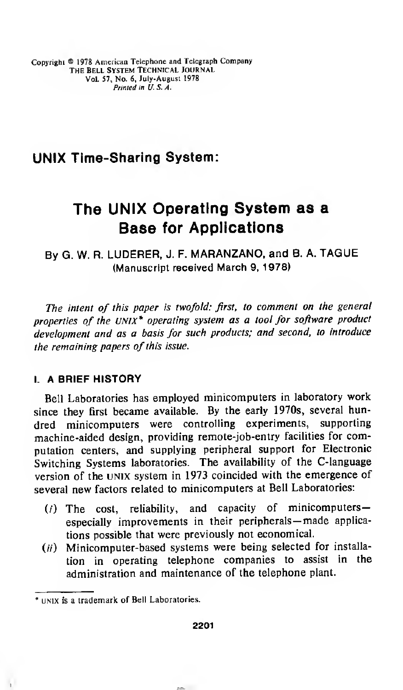Copyright © <sup>1978</sup> American Telephone and Telegraph Company THE BELL SYSTEM TECHNICAL JOURNAL Vol. 57, No. 6, July-August 1978 Printed in U.S.A.

# UNIX Time-Sharing System:

# The UNIX Operating System as a Base for Applications

By G. W. R. LUDERER, J. F. MARANZANO, and B. A. TAGUE (Manuscript received March 9, 1978)

The intent of this paper is twofold: first, to comment on the general properties of the UNIX\* operating system as a tool for software product development and as a basis for such products; and second, to introduce the remaining papers of this issue.

## I. A BRIEF HISTORY

Bell Laboratories has employed minicomputers in laboratory work since they first became available. By the early 1970s, several hundred minicomputers were controlling experiments, supporting machine-aided design, providing remote-job-entry facilities for computation centers, and supplying peripheral support for Electronic Switching Systems laboratories. The availability of the C-language version of the UNIX system in 1973 coincided with the emergence of several new factors related to minicomputers at Bell Laboratories:

- $(i)$  The cost, reliability, and capacity of minicomputersespecially improvements in their peripherals— made applications possible that were previously not economical.
- $(ii)$  Minicomputer-based systems were being selected for installation in operating telephone companies to assist in the administration and maintenance of the telephone plant.

UNIX is a trademark of Bell Laboratories.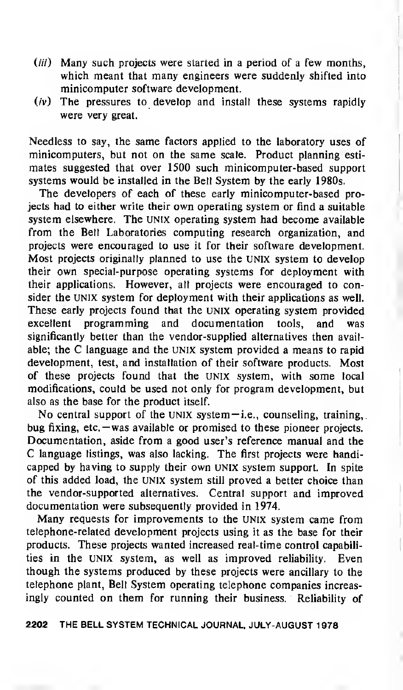- $(iii)$  Many such projects were started in a period of a few months, which meant that many engineers were suddenly shifted into minicomputer software development.
- $(iv)$  The pressures to develop and install these systems rapidly were very great.

Needless to say, the same factors applied to the laboratory uses of minicomputers, but not on the same scale. Product planning estimates suggested that over 1500 such minicomputer-based support systems would be installed in the Bell System by the early 1980s.

The developers of each of these early minicomputer-based projects had to either write their own operating system or find <sup>a</sup> suitable system elsewhere. The UNIX operating system had become available from the Bell Laboratories computing research organization, and projects were encouraged to use it for their software development. Most projects originally planned to use the UNIX system to develop their own special-purpose operating systems for deployment with their applications. However, all projects were encouraged to consider the UNIX system for deployment with their applications as well. These early projects found that the UNIX operating system provided excellent programming and documentation tools, and was significantly better than the vendor-supplied alternatives then available; the C language and the UNIX system provided <sup>a</sup> means to rapid development, test, and installation of their software products. Most of these projects found that the UNIX system, with some local modifications, could be used not only for program development, but also as the base for the product itself.

No central support of the UNIX system  $-i.e.,$  counseling, training, bug fixing, etc. — was available or promised to these pioneer projects. Documentation, aside from a good user's reference manual and the C language listings, was also lacking. The first projects were handicapped by having to supply their own UNIX system support. In spite of this added load, the UNIX system still proved a better choice than the vendor-supported alternatives. Central support and improved documentation were subsequently provided in 1974.

Many requests for improvements to the UNIX system came from telephone-related development projects using it as the base for their products. These projects wanted increased real-time control capabilities in the UNIX system, as well as improved reliability. Even though the systems produced by these projects were ancillary to the telephone plant, Bell System operating telephone companies increasingly counted on them for running their business. Reliability of

2202 THE BELL SYSTEM TECHNICAL JOURNAL, JULY-AUGUST <sup>1</sup>978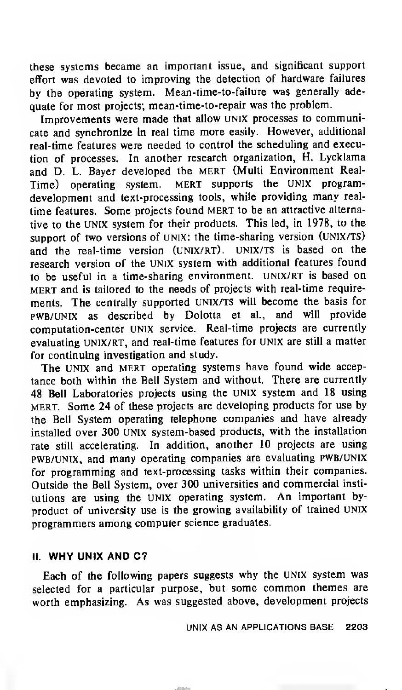these systems became an important issue, and significant support effort was devoted to improving the detection of hardware failures by the operating system. Mean-time-to-failure was generally adequate for most projects; mean-time-to-repair was the problem.

Improvements were made that allow UNIX processes to communicate and synchronize in real time more easily. However, additional real-time features were needed to control the scheduling and execution of processes. In another research organization, H. Lycklama and D. L. Bayer developed the mert (Multi Environment Real-Time) operating system. MERT supports the UNIX programdevelopment and text-processing tools, while providing many realtime features. Some projects found MERT to be an attractive alternative to the UNIX system for their products. This led, in 1978, to the support of two versions of UNIX: the time-sharing version (UNIX/TS) and the real-time version (UNIX/RT). UNIX/TS is based on the research version of the Unix system with additional features found to be useful in a time-sharing environment. UNIX/RT is based on mert and is tailored to the needs of projects with real-time requirements. The centrally supported UNIX/TS will become the basis for pwb/UNIX as described by Dolotta et al., and will provide computation-center UNIX service. Real-time projects are currently evaluating UNIX/RT, and real-time features for UNIX are still a matter for continuing investigation and study.

The UNIX and MERT operating systems have found wide acceptance both within the Bell System and without. There are currently 48 Bell Laboratories projects using the UNIX system and 18 using mert. Some 24 of these projects are developing products for use by the Bell System operating telephone companies and have already installed over 300 UNIX system-based products, with the installation rate still accelerating. In addition, another 10 projects are using pwb/unix, and many operating companies are evaluating pwb/unix for programming and text-processing tasks within their companies. Outside the Bell System, over 300 universities and commercial institutions are using the UNIX operating system. An important byproduct of university use is the growing availability of trained UNIX programmers among computer science graduates.

## II. WHY UNIX AND C?

Each of the following papers suggests why the UNIX system was selected for <sup>a</sup> particular purpose, but some common themes are worth emphasizing. As was suggested above, development projects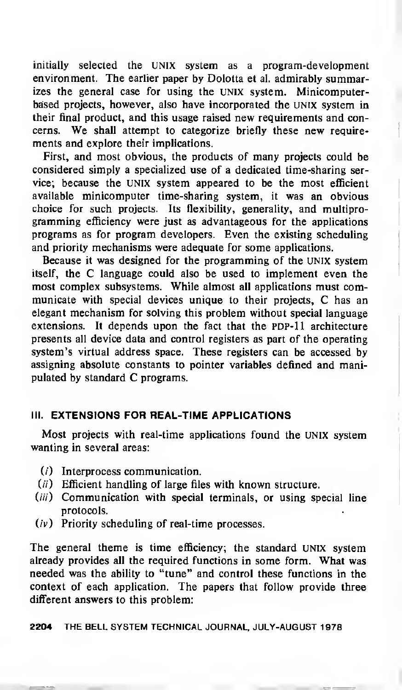initially selected the UNIX system as a program-development environment. The earlier paper by Dolotta et al. admirably summarizes the general case for using the UNIX system. Minicomputerbased projects, however, also have incorporated the UNIX system in their final product, and this usage raised new requirements and concerns. We shall attempt to categorize briefly these new requirements and explore their implications.

First, and most obvious, the products of many projects could be considered simply a specialized use of a dedicated time-sharing service; because the unix system appeared to be the most efficient available minicomputer time-sharing system, it was an obvious choice for such projects. Its flexibility, generality, and multiprogramming efficiency were just as advantageous for the applications programs as for program developers. Even the existing scheduling and priority mechanisms were adequate for some applications.

Because it was designed for the programming of the UNIX system itself, the C language could also be used to implement even the most complex subsystems. While almost all applications must communicate with special devices unique to their projects, C has an elegant mechanism for solving this problem without special language extensions. It depends upon the fact that the PDP-11 architecture presents all device data and control registers as part of the operating system's virtual address space. These registers can be accessed by assigning absolute constants to pointer variables defined and manipulated by standard C programs.

## III. EXTENSIONS FOR REAL-TIME APPLICATIONS

Most projects with real-time applications found the UNIX system wanting in several areas:

- (/) Interprocess communication.
- $(ii)$  Efficient handling of large files with known structure.
- (*iii*) Communication with special terminals, or using special line protocols.
- $(iv)$  Priority scheduling of real-time processes.

The general theme is time efficiency; the standard UNIX system already provides all the required functions in some form. What was needed was the ability to "tune" and control these functions in the context of each application. The papers that follow provide three different answers to this problem:

2204 THE BELL SYSTEM TECHNICAL JOURNAL, JULY-AUGUST <sup>1</sup> 978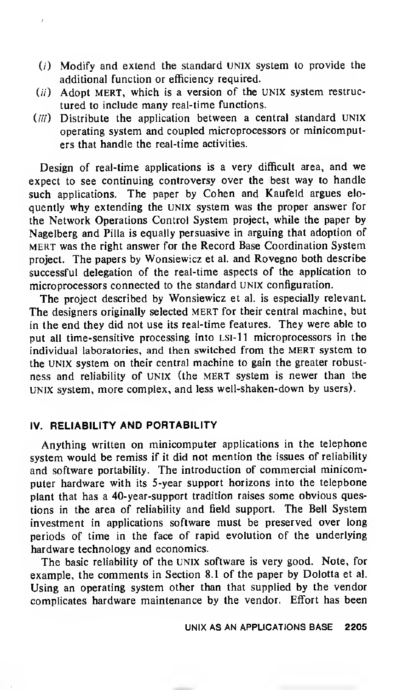- $(i)$  Modify and extend the standard UNIX system to provide the additional function or efficiency required.
- $(ii)$  Adopt MERT, which is a version of the UNIX system restructured to include many real-time functions.
- (iii) Distribute the application between a central standard UNIX operating system and coupled microprocessors or minicomputers that handle the real-time activities.

Design of real-time applications is <sup>a</sup> very difficult area, and we expect to see continuing controversy over the best way to handle such applications. The paper by Cohen and Kaufeld argues eloquently why extending the UNIX system was the proper answer for the Network Operations Control System project, while the paper by Nagelberg and Pilla is equally persuasive in arguing that adoption of mert was the right answer for the Record Base Coordination System project. The papers by Wonsiewicz et al. and Rovegno both describe successful delegation of the real-time aspects of the application to microprocessors connected to the standard UNIX configuration.

The project described by Wonsiewicz et al. is especially relevant. The designers originally selected MERT for their central machine, but in the end they did not use its real-time features. They were able to put all time-sensitive processing into LSI-11 microprocessors in the individual laboratories, and then switched from the MERT system to the UNIX system on their central machine to gain the greater robustness and reliability of UNIX (the MERT system is newer than the UNIX system, more complex, and less well-shaken-down by users).

#### IV. RELIABILITY AND PORTABILITY

Anything written on minicomputer applications in the telephone system would be remiss if it did not mention the issues of reliability and software portability. The introduction of commercial minicomputer hardware with its 5-year support horizons into the telephone plant that has <sup>a</sup> 40-year-support tradition raises some obvious questions in the area of reliability and field support. The Bell System investment in applications software must be preserved over long periods of time in the face of rapid evolution of the underlying hardware technology and economics.

The basic reliability of the UNIX software is very good. Note, for example, the comments in Section 8.1 of the paper by Dolotta et al. Using an operating system other than that supplied by the vendor complicates hardware maintenance by the vendor. Effort has been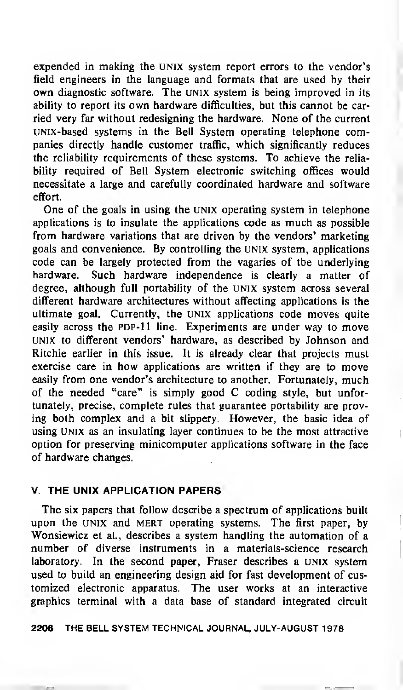expended in making the UNIX system report errors to the vendor's field engineers in the language and formats that are used by their own diagnostic software. The UNIX system is being improved in its ability to report its own hardware difficulties, but this cannot be carried very far without redesigning the hardware. None of the current UNIX-based systems in the Bell System operating telephone companies directly handle customer traffic, which significantly reduces the reliability requirements of these systems. To achieve the reliability required of Bell System electronic switching offices would necessitate a large and carefully coordinated hardware and software effort.

One of the goals in using the UNIX operating system in telephone applications is to insulate the applications code as much as possible from hardware variations that are driven by the vendors' marketing goals and convenience. By controlling the UNIX system, applications code can be largely protected from the vagaries of the underlying hardware. Such hardware independence is clearly a matter of degree, although full portability of the Unix system across several different hardware architectures without affecting applications is the ultimate goal. Currently, the UNIX applications code moves quite easily across the PDP-11 line. Experiments are under way to move UNIX to different vendors' hardware, as described by Johnson and Ritchie earlier in this issue. It is already clear that projects must exercise care in how applications are written if they are to move easily from one vendor's architecture to another. Fortunately, much of the needed "care" is simply good C coding style, but unfortunately, precise, complete rules that guarantee portability are proving both complex and a bit slippery. However, the basic idea of using UNIX as an insulating layer continues to be the most attractive option for preserving minicomputer applications software in the face of hardware changes.

#### V. THE UNIX APPLICATION PAPERS

The six papers that follow describe a spectrum of applications built upon the UNIX and MERT operating systems. The first paper, by Wonsiewicz et al., describes a system handling the automation of a number of diverse instruments in a materials-science research laboratory. In the second paper, Fraser describes a UNIX system used to build an engineering design aid for fast development of customized electronic apparatus. The user works at an interactive graphics terminal with a data base of standard integrated circuit

2206 THE BELL SYSTEM TECHNICAL JOURNAL, JULY-AUGUST <sup>1</sup>978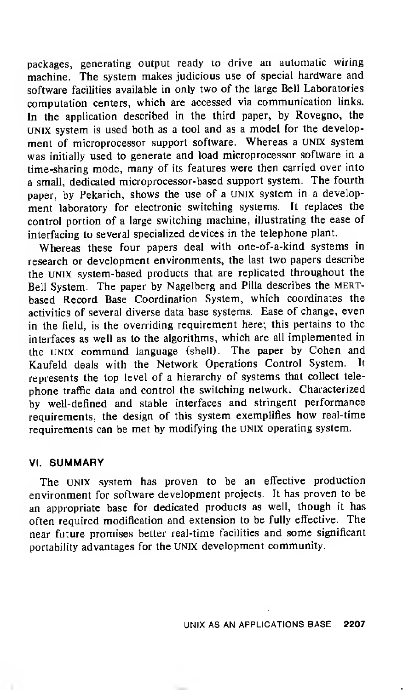packages, generating output ready to drive an automatic wiring machine. The system makes judicious use of special hardware and software facilities available in only two of the large Bell Laboratories computation centers, which are accessed via communication links. In the application described in the third paper, by Rovegno, the UNIX system is used both as <sup>a</sup> tool and as <sup>a</sup> model for the development of microprocessor support software. Whereas <sup>a</sup> UNIX system was initially used to generate and load microprocessor software in a time-sharing mode, many of its features were then carried over into <sup>a</sup> small, dedicated microprocessor-based support system. The fourth paper, by Pekarich, shows the use of <sup>a</sup> UNIX system in <sup>a</sup> development laboratory for electronic switching systems. It replaces the control portion of a large switching machine, illustrating the ease of interfacing to several specialized devices in the telephone plant.

Whereas these four papers deal with one-of-a-kind systems in research or development environments, the last two papers describe the UNIX system-based products that are replicated throughout the Bell System. The paper by Nagelberg and Pilla describes the mertbased Record Base Coordination System, which coordinates the activities of several diverse data base systems. Ease of change, even in the field, is the overriding requirement here; this pertains to the interfaces as well as to the algorithms, which are all implemented in the UNIX command language (shell). The paper by Cohen and Kaufeld deals with the Network Operations Control System. It represents the top level of a hierarchy of systems that collect telephone traffic data and control the switching network. Characterized by well-defined and stable interfaces and stringent performance requirements, the design of this system exemplifies how real-time requirements can be met by modifying the UNIX operating system.

#### VI. SUMMARY

The UNIX system has proven to be an effective production environment for software development projects. It has proven to be an appropriate base for dedicated products as well, though it has often required modification and extension to be fully effective. The near future promises better real-time facilities and some significant portability advantages for the UNIX development community.